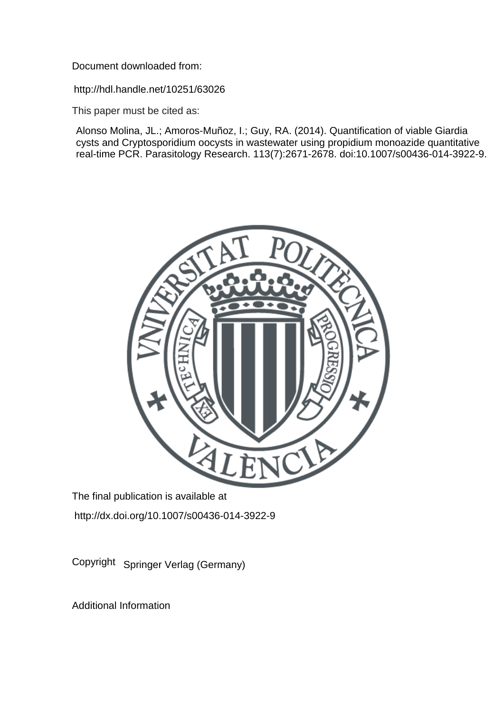Document downloaded from:

http://hdl.handle.net/10251/63026

This paper must be cited as:

Alonso Molina, JL.; Amoros-Muñoz, I.; Guy, RA. (2014). Quantification of viable Giardia cysts and Cryptosporidium oocysts in wastewater using propidium monoazide quantitative real-time PCR. Parasitology Research. 113(7):2671-2678. doi:10.1007/s00436-014-3922-9.



The final publication is available at http://dx.doi.org/10.1007/s00436-014-3922-9

Copyright Springer Verlag (Germany)

Additional Information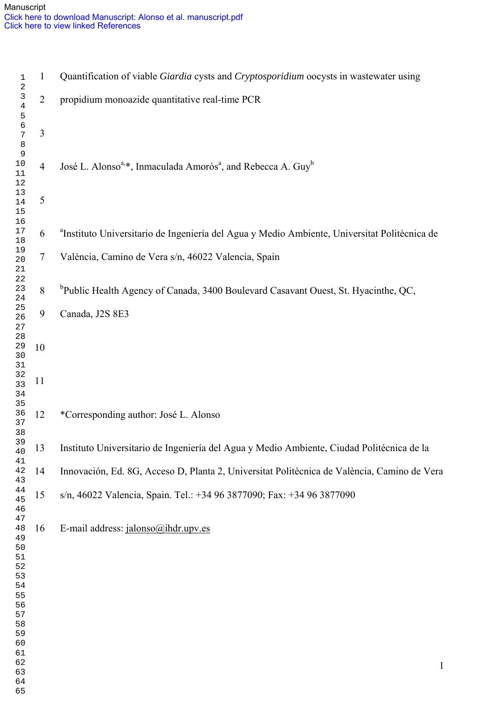| 1<br>$\boldsymbol{2}$                                                | $\mathbf{1}$   | Quantification of viable Giardia cysts and Cryptosporidium oocysts in wastewater using                   |
|----------------------------------------------------------------------|----------------|----------------------------------------------------------------------------------------------------------|
| $\frac{3}{4}$                                                        | $\overline{2}$ | propidium monoazide quantitative real-time PCR                                                           |
| 5<br>6<br>$\overline{7}$<br>8                                        | 3              |                                                                                                          |
| 9<br>10<br>11<br>12                                                  | $\overline{4}$ | José L. Alonso <sup>a,*</sup> , Inmaculada Amorós <sup>a</sup> , and Rebecca A. Guy <sup>b</sup>         |
| 13<br>14<br>15<br>16                                                 | 5              |                                                                                                          |
| 17<br>18                                                             | 6              | <sup>a</sup> Instituto Universitario de Ingeniería del Agua y Medio Ambiente, Universitat Politècnica de |
| 19<br>20<br>21<br>22                                                 | $\tau$         | València, Camino de Vera s/n, 46022 Valencia, Spain                                                      |
| 23<br>24                                                             | 8              | <sup>b</sup> Public Health Agency of Canada, 3400 Boulevard Casavant Ouest, St. Hyacinthe, QC,           |
| 25<br>26<br>27                                                       | 9              | Canada, J2S 8E3                                                                                          |
| 28<br>29<br>30<br>31                                                 | 10             |                                                                                                          |
| 32<br>33<br>34                                                       | 11             |                                                                                                          |
| 35<br>36<br>37<br>38                                                 | 12             | *Corresponding author: José L. Alonso                                                                    |
| 39<br>40<br>41                                                       | 13             | Instituto Universitario de Ingeniería del Agua y Medio Ambiente, Ciudad Politécnica de la                |
| 42<br>43                                                             | 14             | Innovación, Ed. 8G, Acceso D, Planta 2, Universitat Politècnica de València, Camino de Vera              |
| 44<br>45<br>46                                                       | 15             | s/n, 46022 Valencia, Spain. Tel.: +34 96 3877090; Fax: +34 96 3877090                                    |
| 47<br>48<br>49<br>50<br>51<br>52<br>53<br>54<br>55<br>56<br>57<br>58 | 16             | E-mail address: jalonso@ihdr.upv.es                                                                      |
| 59<br>60                                                             |                |                                                                                                          |
| 61<br>62<br>63                                                       |                | $\mathbf{1}$                                                                                             |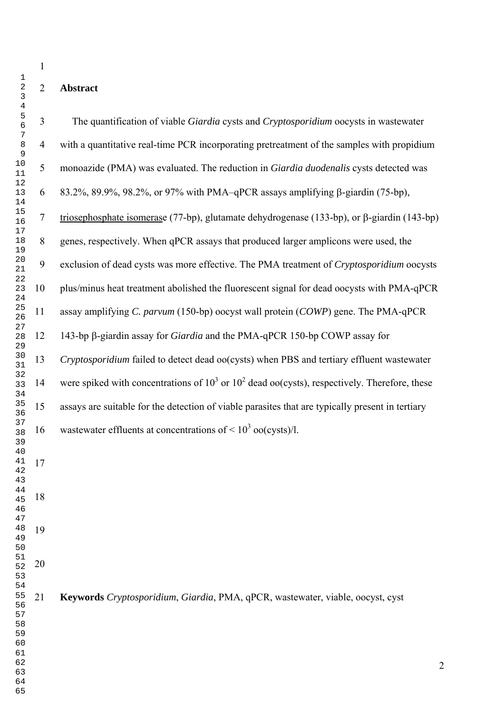# **Abstract**

| 3                | The quantification of viable Giardia cysts and Cryptosporidium oocysts in wastewater               |
|------------------|----------------------------------------------------------------------------------------------------|
| $\overline{4}$   | with a quantitative real-time PCR incorporating pretreatment of the samples with propidium         |
| 5                | monoazide (PMA) was evaluated. The reduction in Giardia duodenalis cysts detected was              |
| 6                | 83.2%, 89.9%, 98.2%, or 97% with PMA–qPCR assays amplifying β-giardin (75-bp),                     |
| $\tau$           | triosephosphate isomerase (77-bp), glutamate dehydrogenase (133-bp), or $\beta$ -giardin (143-bp)  |
| $8\,$            | genes, respectively. When qPCR assays that produced larger amplicons were used, the                |
| $\boldsymbol{9}$ | exclusion of dead cysts was more effective. The PMA treatment of <i>Cryptosporidium</i> oocysts    |
| 10               | plus/minus heat treatment abolished the fluorescent signal for dead oocysts with PMA-qPCR          |
| 11               | assay amplifying C. parvum (150-bp) oocyst wall protein $(COWP)$ gene. The PMA-qPCR                |
| 12               | 143-bp β-giardin assay for <i>Giardia</i> and the PMA-qPCR 150-bp COWP assay for                   |
| 13               | Cryptosporidium failed to detect dead oo(cysts) when PBS and tertiary effluent wastewater          |
| 14               | were spiked with concentrations of $10^3$ or $10^2$ dead oo(cysts), respectively. Therefore, these |
| 15               | assays are suitable for the detection of viable parasites that are typically present in tertiary   |
| 16               | wastewater effluents at concentrations of $\leq 10^3$ oo(cysts)/l.                                 |
| 17               |                                                                                                    |
| 18               |                                                                                                    |
| 19               |                                                                                                    |
| 20               |                                                                                                    |

**Keywords** *Cryptosporidium*, *Giardia*, PMA, qPCR, wastewater, viable, oocyst, cyst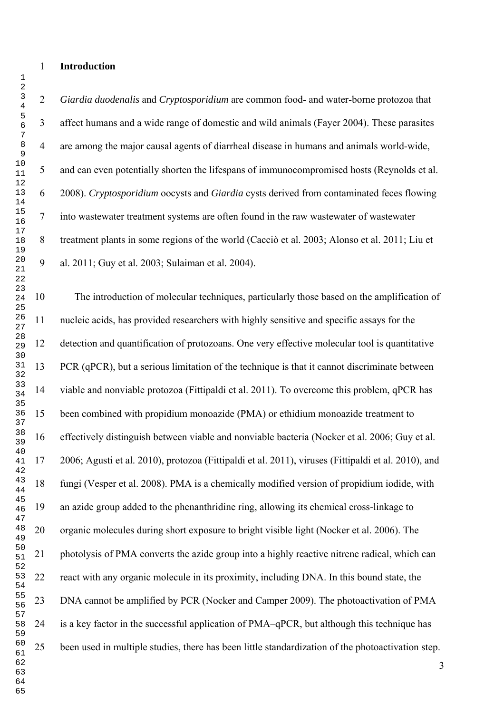### **Introduction**

*Giardia duodenalis* and *Cryptosporidium* are common food- and water-borne protozoa that 3 affect humans and a wide range of domestic and wild animals (Fayer 2004). These parasites 4 are among the major causal agents of diarrheal disease in humans and animals world-wide, 5 and can even potentially shorten the lifespans of immunocompromised hosts (Reynolds et al. 6 2008). *Cryptosporidium* oocysts and *Giardia* cysts derived from contaminated feces flowing 7 into wastewater treatment systems are often found in the raw wastewater of wastewater 8 treatment plants in some regions of the world (Cacciò et al. 2003; Alonso et al. 2011; Liu et 9 al. 2011; Guy et al. 2003; Sulaiman et al. 2004).

10 The introduction of molecular techniques, particularly those based on the amplification of 11 nucleic acids, has provided researchers with highly sensitive and specific assays for the 12 detection and quantification of protozoans. One very effective molecular tool is quantitative 13 PCR (qPCR), but a serious limitation of the technique is that it cannot discriminate between 14 viable and nonviable protozoa (Fittipaldi et al. 2011). To overcome this problem, qPCR has 15 been combined with propidium monoazide (PMA) or ethidium monoazide treatment to 16 effectively distinguish between viable and nonviable bacteria (Nocker et al. 2006; Guy et al. 17 2006; Agusti et al. 2010), protozoa (Fittipaldi et al. 2011), viruses (Fittipaldi et al. 2010), and 18 fungi (Vesper et al. 2008). PMA is a chemically modified version of propidium iodide, with 19 an azide group added to the phenanthridine ring, allowing its chemical cross-linkage to 20 organic molecules during short exposure to bright visible light (Nocker et al. 2006). The 21 photolysis of PMA converts the azide group into a highly reactive nitrene radical, which can 22 react with any organic molecule in its proximity, including DNA. In this bound state, the 23 DNA cannot be amplified by PCR (Nocker and Camper 2009). The photoactivation of PMA 24 is a key factor in the successful application of PMA–qPCR, but although this technique has 25 been used in multiple studies, there has been little standardization of the photoactivation step.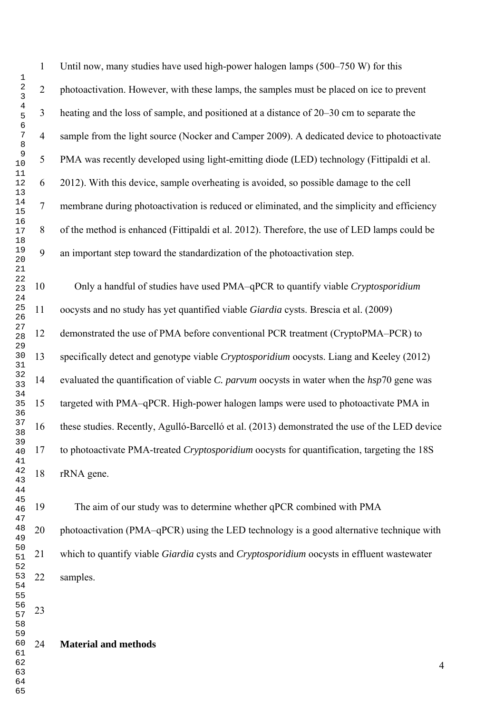1 Until now, many studies have used high-power halogen lamps (500–750 W) for this 2 photoactivation. However, with these lamps, the samples must be placed on ice to prevent 3 heating and the loss of sample, and positioned at a distance of 20–30 cm to separate the 4 sample from the light source (Nocker and Camper 2009). A dedicated device to photoactivate 5 PMA was recently developed using light-emitting diode **(**LED) technology (Fittipaldi et al. 6 2012). With this device, sample overheating is avoided, so possible damage to the cell 7 membrane during photoactivation is reduced or eliminated, and the simplicity and efficiency 8 of the method is enhanced (Fittipaldi et al. 2012). Therefore, the use of LED lamps could be 9 an important step toward the standardization of the photoactivation step.

10 Only a handful of studies have used PMA–qPCR to quantify viable *Cryptosporidium* 11 oocysts and no study has yet quantified viable *Giardia* cysts. Brescia et al. (2009) 12 demonstrated the use of PMA before conventional PCR treatment (CryptoPMA–PCR) to 13 specifically detect and genotype viable *Cryptosporidium* oocysts. Liang and Keeley (2012) 14 evaluated the quantification of viable *C. parvum* oocysts in water when the *hsp*70 gene was 15 targeted with PMA–qPCR. High-power halogen lamps were used to photoactivate PMA in 16 these studies. Recently, Agulló-Barcelló et al. (2013) demonstrated the use of the LED device 17 to photoactivate PMA-treated *Cryptosporidium* oocysts for quantification, targeting the 18S 18 rRNA gene.

19 The aim of our study was to determine whether qPCR combined with PMA 20 photoactivation (PMA–qPCR) using the LED technology is a good alternative technique with 21 which to quantify viable *Giardia* cysts and *Cryptosporidium* oocysts in effluent wastewater 22 samples.

## **Material and methods**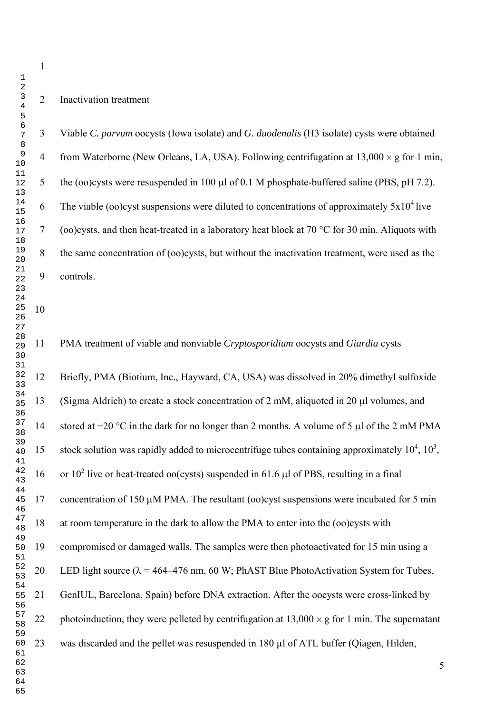### 2 Inactivation treatment

3 Viable *C. parvum* oocysts (Iowa isolate) and *G. duodenalis* (H3 isolate) cysts were obtained 4 from Waterborne (New Orleans, LA, USA). Following centrifugation at  $13,000 \times g$  for 1 min, 5 the (oo)cysts were resuspended in 100 µl of 0.1 M phosphate-buffered saline (PBS, pH 7.2). 6 The viable (oo)cyst suspensions were diluted to concentrations of approximately  $5x10^4$  live 7 (oo)cysts, and then heat-treated in a laboratory heat block at 70 °C for 30 min. Aliquots with 8 the same concentration of (oo)cysts, but without the inactivation treatment, were used as the 9 controls.

### 11 PMA treatment of viable and nonviable *Cryptosporidium* oocysts and *Giardia* cysts

12 Briefly, PMA (Biotium, Inc., Hayward, CA, USA) was dissolved in 20% dimethyl sulfoxide 13 (Sigma Aldrich) to create a stock concentration of 2 mM, aliquoted in 20 µl volumes, and 14 stored at −20 °C in the dark for no longer than 2 months. A volume of 5 µl of the 2 mM PMA 15 stock solution was rapidly added to microcentrifuge tubes containing approximately  $10^4$ ,  $10^3$ , 16 or  $10^2$  live or heat-treated oo(cysts) suspended in 61.6 µl of PBS, resulting in a final 17 concentration of 150 µM PMA. The resultant (oo)cyst suspensions were incubated for 5 min 18 at room temperature in the dark to allow the PMA to enter into the (oo)cysts with 19 compromised or damaged walls. The samples were then photoactivated for 15 min using a 20 LED light source ( $\lambda = 464-476$  nm, 60 W; PhAST Blue PhotoActivation System for Tubes, 21 GenIUL, Barcelona, Spain) before DNA extraction. After the oocysts were cross-linked by 22 photoinduction, they were pelleted by centrifugation at  $13,000 \times g$  for 1 min. The supernatant 23 was discarded and the pellet was resuspended in 180 µl of ATL buffer (Qiagen, Hilden,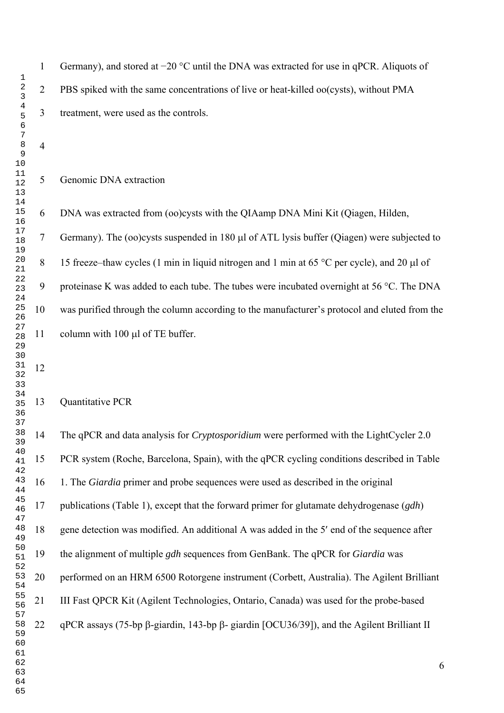1 Germany), and stored at −20 °C until the DNA was extracted for use in qPCR. Aliquots of 2 PBS spiked with the same concentrations of live or heat-killed oo(cysts), without PMA 3 treatment, were used as the controls.

5 Genomic DNA extraction

6 DNA was extracted from (oo)cysts with the QIAamp DNA Mini Kit (Qiagen, Hilden, 7 Germany). The (oo)cysts suspended in 180 µl of ATL lysis buffer (Qiagen) were subjected to 8 15 freeze–thaw cycles (1 min in liquid nitrogen and 1 min at 65 °C per cycle), and 20 µl of 9 proteinase K was added to each tube. The tubes were incubated overnight at 56 °C. The DNA 10 was purified through the column according to the manufacturer's protocol and eluted from the 11 column with 100 µl of TE buffer.

13 Quantitative PCR

14 The qPCR and data analysis for *Cryptosporidium* were performed with the LightCycler 2.0 15 PCR system (Roche, Barcelona, Spain), with the qPCR cycling conditions described in Table 16 1. The *Giardia* primer and probe sequences were used as described in the original 17 publications (Table 1), except that the forward primer for glutamate dehydrogenase (*gdh*) 18 gene detection was modified. An additional A was added in the 5′ end of the sequence after 19 the alignment of multiple *gdh* sequences from GenBank. The qPCR for *Giardia* was 20 performed on an HRM 6500 Rotorgene instrument (Corbett, Australia). The Agilent Brilliant 21 III Fast QPCR Kit (Agilent Technologies, Ontario, Canada) was used for the probe-based 22 qPCR assays (75-bp β-giardin, 143-bp β- giardin [OCU36/39]), and the Agilent Brilliant II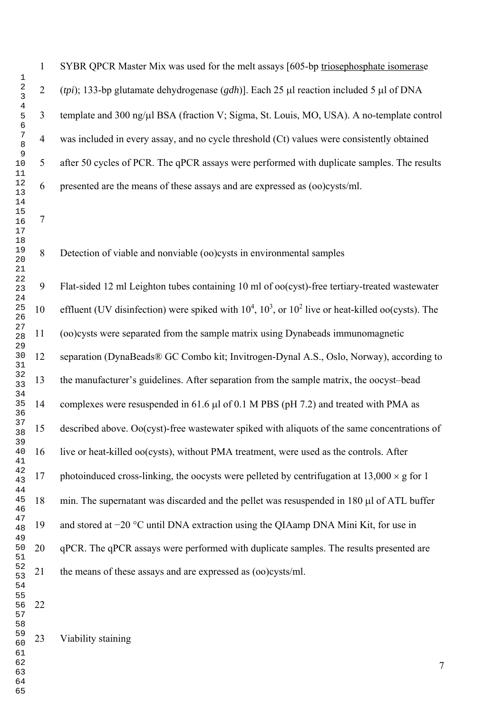1 SYBR QPCR Master Mix was used for the melt assays [605-bp triosephosphate isomerase 2 (*tpi*); 133-bp glutamate dehydrogenase (*gdh*)]. Each 25 µl reaction included 5 µl of DNA 3 template and 300 ng/µl BSA (fraction V; Sigma, St. Louis, MO, USA). A no-template control 4 was included in every assay, and no cycle threshold (Ct) values were consistently obtained 5 after 50 cycles of PCR. The qPCR assays were performed with duplicate samples. The results 6 presented are the means of these assays and are expressed as (oo)cysts/ml. 8 Detection of viable and nonviable (oo)cysts in environmental samples

9 Flat-sided 12 ml Leighton tubes containing 10 ml of oo(cyst)-free tertiary-treated wastewater 10 effluent (UV disinfection) were spiked with  $10^4$ ,  $10^3$ , or  $10^2$  live or heat-killed oo(cysts). The 11 (oo)cysts were separated from the sample matrix using Dynabeads immunomagnetic 12 separation (DynaBeads® GC Combo kit; Invitrogen-Dynal A.S., Oslo, Norway), according to 13 the manufacturer's guidelines. After separation from the sample matrix, the oocyst–bead 14 complexes were resuspended in 61.6 µl of 0.1 M PBS (pH 7.2) and treated with PMA as 15 described above. Oo(cyst)-free wastewater spiked with aliquots of the same concentrations of 16 live or heat-killed oo(cysts), without PMA treatment, were used as the controls. After 17 photoinduced cross-linking, the oocysts were pelleted by centrifugation at  $13,000 \times g$  for 1 18 min. The supernatant was discarded and the pellet was resuspended in 180 µl of ATL buffer 19 and stored at −20 °C until DNA extraction using the QIAamp DNA Mini Kit, for use in 20 qPCR. The qPCR assays were performed with duplicate samples. The results presented are 21 the means of these assays and are expressed as (oo)cysts/ml.

23 Viability staining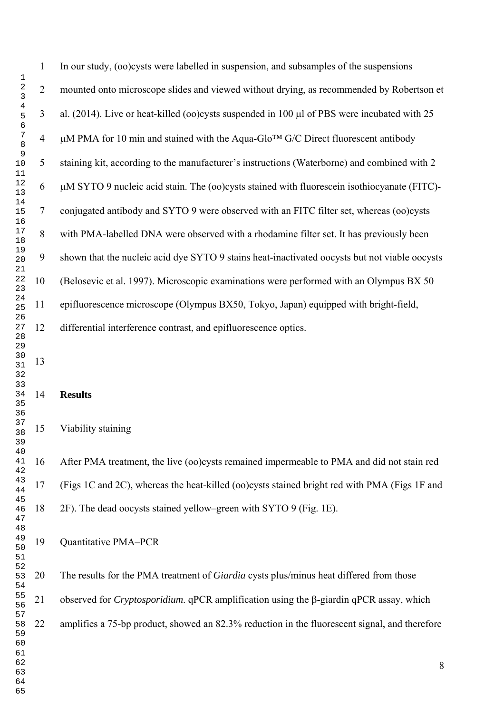1 In our study, (oo)cysts were labelled in suspension, and subsamples of the suspensions 2 mounted onto microscope slides and viewed without drying, as recommended by Robertson et 3 al. (2014). Live or heat-killed (oo)cysts suspended in 100 µl of PBS were incubated with 25 µM PMA for 10 min and stained with the Aqua-Glo™ G/C Direct fluorescent antibody 5 staining kit, according to the manufacturer's instructions (Waterborne) and combined with 2 µM SYTO 9 nucleic acid stain. The (oo)cysts stained with fluorescein isothiocyanate (FITC)- 7 conjugated antibody and SYTO 9 were observed with an FITC filter set, whereas (oo)cysts 8 with PMA-labelled DNA were observed with a rhodamine filter set. It has previously been 9 shown that the nucleic acid dye SYTO 9 stains heat-inactivated oocysts but not viable oocysts 10 (Belosevic et al. 1997). Microscopic examinations were performed with an Olympus BX 50 11 epifluorescence microscope (Olympus BX50, Tokyo, Japan) equipped with bright-field, 12 differential interference contrast, and epifluorescence optics.

### **Results**

15 Viability staining

16 After PMA treatment, the live (oo)cysts remained impermeable to PMA and did not stain red 17 (Figs 1C and 2C), whereas the heat-killed (oo)cysts stained bright red with PMA (Figs 1F and 18 2F). The dead oocysts stained yellow–green with SYTO 9 (Fig. 1E).

19 Quantitative PMA–PCR

20 The results for the PMA treatment of *Giardia* cysts plus/minus heat differed from those

21 observed for *Cryptosporidium*. qPCR amplification using the β-giardin qPCR assay, which

22 amplifies a 75-bp product, showed an 82.3% reduction in the fluorescent signal, and therefore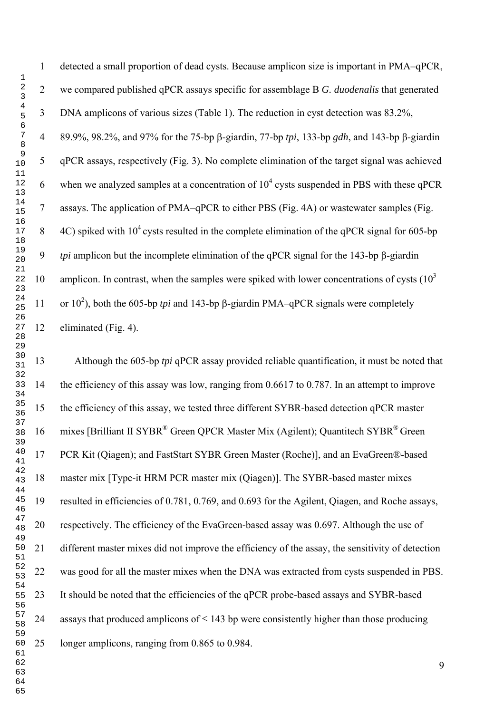1 detected a small proportion of dead cysts. Because amplicon size is important in PMA–qPCR, 2 we compared published qPCR assays specific for assemblage B *G. duodenalis* that generated 3 DNA amplicons of various sizes (Table 1). The reduction in cyst detection was 83.2%, 4 89.9%, 98.2%, and 97% for the 75-bp β-giardin, 77-bp *tpi*, 133-bp *gdh*, and 143-bp β-giardin 5 qPCR assays, respectively (Fig. 3). No complete elimination of the target signal was achieved 6 when we analyzed samples at a concentration of  $10^4$  cysts suspended in PBS with these qPCR 7 assays. The application of PMA–qPCR to either PBS (Fig. 4A) or wastewater samples (Fig. 8 4C) spiked with  $10^4$  cysts resulted in the complete elimination of the qPCR signal for 605-bp *tpi* amplicon but the incomplete elimination of the qPCR signal for the 143-bp β-giardin 10 amplicon. In contrast, when the samples were spiked with lower concentrations of cysts  $(10^3$ 11 or 10<sup>2</sup>), both the 605-bp *tpi* and 143-bp β-giardin PMA–qPCR signals were completely 12 eliminated (Fig. 4).

13 Although the 605-bp *tpi* qPCR assay provided reliable quantification, it must be noted that 14 the efficiency of this assay was low, ranging from 0.6617 to 0.787. In an attempt to improve 15 the efficiency of this assay, we tested three different SYBR-based detection qPCR master 16 mixes [Brilliant II SYBR<sup>®</sup> Green QPCR Master Mix (Agilent); Quantitech SYBR<sup>®</sup> Green 17 PCR Kit (Qiagen); and FastStart SYBR Green Master (Roche)], and an EvaGreen®-based 18 master mix [Type-it HRM PCR master mix (Qiagen)]. The SYBR-based master mixes 19 resulted in efficiencies of 0.781, 0.769, and 0.693 for the Agilent, Qiagen, and Roche assays, 20 respectively. The efficiency of the EvaGreen-based assay was 0.697. Although the use of 21 different master mixes did not improve the efficiency of the assay, the sensitivity of detection 22 was good for all the master mixes when the DNA was extracted from cysts suspended in PBS. 23 It should be noted that the efficiencies of the qPCR probe-based assays and SYBR-based 24 assays that produced amplicons of  $\leq$  143 bp were consistently higher than those producing 25 longer amplicons, ranging from 0.865 to 0.984.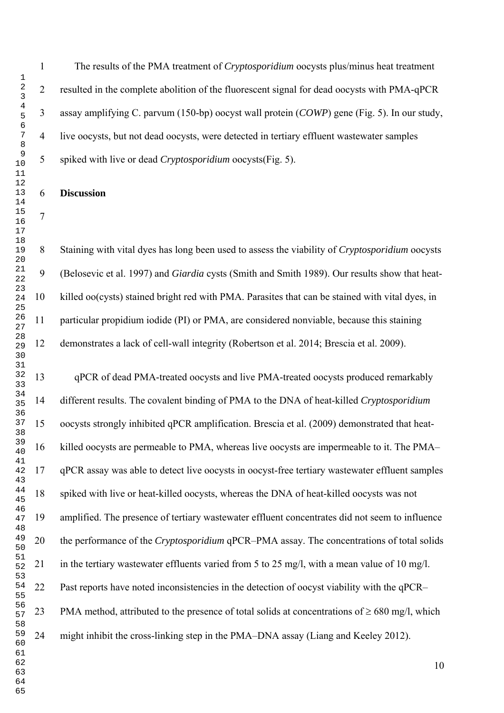1 The results of the PMA treatment of *Cryptosporidium* oocysts plus/minus heat treatment 2 resulted in the complete abolition of the fluorescent signal for dead oocysts with PMA-qPCR 3 assay amplifying C. parvum (150-bp) oocyst wall protein (*COWP*) gene (Fig. 5). In our study, 4 live oocysts, but not dead oocysts, were detected in tertiary effluent wastewater samples 5 spiked with live or dead *Cryptosporidium* oocysts(Fig. 5).

#### **Discussion**

8 Staining with vital dyes has long been used to assess the viability of *Cryptosporidium* oocysts 9 (Belosevic et al. 1997) and *Giardia* cysts (Smith and Smith 1989). Our results show that heat-10 killed oo(cysts) stained bright red with PMA. Parasites that can be stained with vital dyes, in 11 particular propidium iodide (PI) or PMA, are considered nonviable, because this staining 12 demonstrates a lack of cell-wall integrity (Robertson et al. 2014; Brescia et al. 2009).

13 qPCR of dead PMA-treated oocysts and live PMA-treated oocysts produced remarkably 14 different results. The covalent binding of PMA to the DNA of heat-killed *Cryptosporidium*  15 oocysts strongly inhibited qPCR amplification. Brescia et al. (2009) demonstrated that heat-16 killed oocysts are permeable to PMA, whereas live oocysts are impermeable to it. The PMA– 17 qPCR assay was able to detect live oocysts in oocyst-free tertiary wastewater effluent samples 18 spiked with live or heat-killed oocysts, whereas the DNA of heat-killed oocysts was not 19 amplified. The presence of tertiary wastewater effluent concentrates did not seem to influence 20 the performance of the *Cryptosporidium* qPCR–PMA assay. The concentrations of total solids 21 in the tertiary wastewater effluents varied from 5 to 25 mg/l, with a mean value of 10 mg/l. 22 Past reports have noted inconsistencies in the detection of oocyst viability with the qPCR– 23 PMA method, attributed to the presence of total solids at concentrations of  $\geq 680$  mg/l, which 24 might inhibit the cross-linking step in the PMA–DNA assay (Liang and Keeley 2012).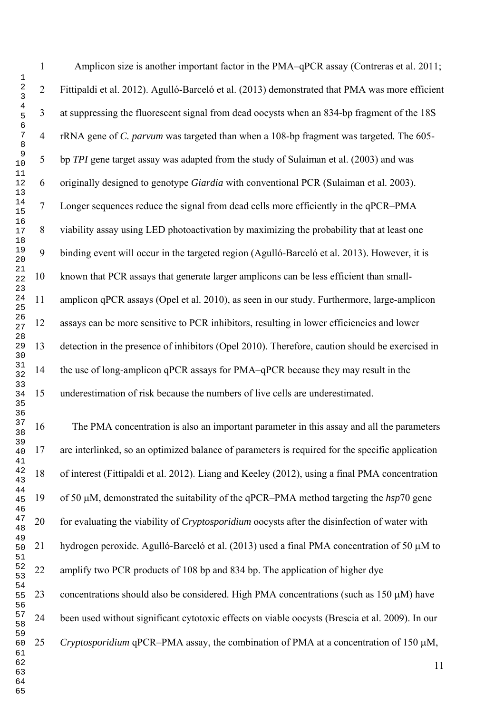1 Amplicon size is another important factor in the PMA–qPCR assay (Contreras et al. 2011; 2 Fittipaldi et al. 2012). Agulló-Barceló et al. (2013) demonstrated that PMA was more efficient 3 at suppressing the fluorescent signal from dead oocysts when an 834-bp fragment of the 18S 4 rRNA gene of *C. parvum* was targeted than when a 108-bp fragment was targeted*.* The 605- 5 bp *TPI* gene target assay was adapted from the study of Sulaiman et al. (2003) and was 6 originally designed to genotype *Giardia* with conventional PCR (Sulaiman et al. 2003). 7 Longer sequences reduce the signal from dead cells more efficiently in the qPCR–PMA 8 viability assay using LED photoactivation by maximizing the probability that at least one 9 binding event will occur in the targeted region (Agulló-Barceló et al. 2013). However, it is 10 known that PCR assays that generate larger amplicons can be less efficient than small-11 amplicon qPCR assays (Opel et al. 2010), as seen in our study. Furthermore, large-amplicon 12 assays can be more sensitive to PCR inhibitors, resulting in lower efficiencies and lower 13 detection in the presence of inhibitors (Opel 2010). Therefore, caution should be exercised in 14 the use of long-amplicon qPCR assays for PMA–qPCR because they may result in the 15 underestimation of risk because the numbers of live cells are underestimated.

16 The PMA concentration is also an important parameter in this assay and all the parameters 17 are interlinked, so an optimized balance of parameters is required for the specific application 18 of interest (Fittipaldi et al. 2012). Liang and Keeley (2012), using a final PMA concentration 19 of 50 µM, demonstrated the suitability of the qPCR–PMA method targeting the *hsp*70 gene 20 for evaluating the viability of *Cryptosporidium* oocysts after the disinfection of water with 21 hydrogen peroxide. Agulló-Barceló et al. (2013) used a final PMA concentration of 50 µM to 22 amplify two PCR products of 108 bp and 834 bp. The application of higher dye 23 concentrations should also be considered. High PMA concentrations (such as  $150 \mu M$ ) have 24 been used without significant cytotoxic effects on viable oocysts (Brescia et al. 2009). In our *Cryptosporidium* qPCR–PMA assay, the combination of PMA at a concentration of 150 µM,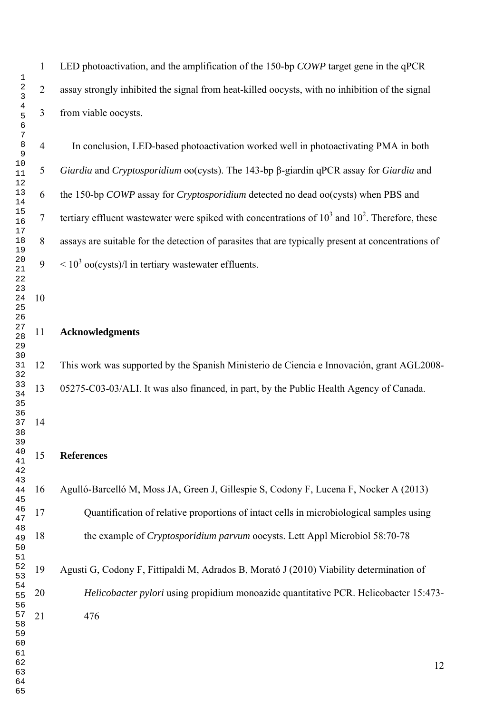1 LED photoactivation, and the amplification of the 150-bp *COWP* target gene in the qPCR 2 assay strongly inhibited the signal from heat-killed oocysts, with no inhibition of the signal 3 from viable oocysts.

4 In conclusion, LED-based photoactivation worked well in photoactivating PMA in both *Giardia* and *Cryptosporidium* oo(cysts). The 143-bp β-giardin qPCR assay for *Giardia* and 6 the 150-bp *COWP* assay for *Cryptosporidium* detected no dead oo(cysts) when PBS and 7 tertiary effluent wastewater were spiked with concentrations of  $10^3$  and  $10^2$ . Therefore, these 8 assays are suitable for the detection of parasites that are typically present at concentrations of  $9 \leq 10^3$  oo(cysts)/l in tertiary wastewater effluents.

### **Acknowledgments**

12 This work was supported by the Spanish Ministerio de Ciencia e Innovación, grant AGL2008- 13 05275-C03-03/ALI. It was also financed, in part, by the Public Health Agency of Canada.

#### **References**

16 Agulló-Barcelló M, Moss JA, Green J, Gillespie S, Codony F, Lucena F, Nocker A (2013) 17 Quantification of relative proportions of intact cells in microbiological samples using 18 the example of *Cryptosporidium parvum* oocysts. Lett Appl Microbiol 58:70-78

19 Agusti G, Codony F, Fittipaldi M, Adrados B, Morató J (2010) Viability determination of *Helicobacter pylori* using propidium monoazide quantitative PCR. Helicobacter 15:473- 21 476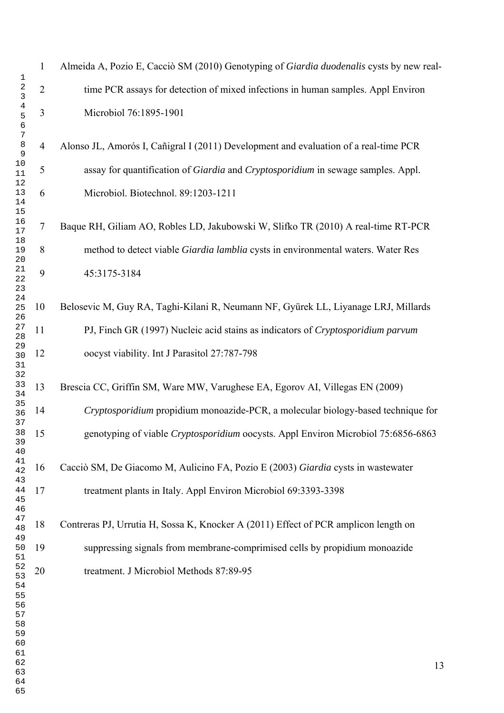|                                                    | $\mathbf{1}$   | Almeida A, Pozio E, Cacciò SM (2010) Genotyping of Giardia duodenalis cysts by new real-       |
|----------------------------------------------------|----------------|------------------------------------------------------------------------------------------------|
| 1<br>$\sqrt{2}$<br>3                               | $\overline{2}$ | time PCR assays for detection of mixed infections in human samples. Appl Environ               |
| $\overline{4}$<br>5<br>$\epsilon$<br>7             | 3              | Microbiol 76:1895-1901                                                                         |
| 8<br>9                                             | $\overline{4}$ | Alonso JL, Amorós I, Cañigral I (2011) Development and evaluation of a real-time PCR           |
| 10<br>11<br>12                                     | 5              | assay for quantification of <i>Giardia</i> and <i>Cryptosporidium</i> in sewage samples. Appl. |
| 13<br>14<br>15                                     | 6              | Microbiol. Biotechnol. 89:1203-1211                                                            |
| 16<br>17                                           | 7              | Baque RH, Giliam AO, Robles LD, Jakubowski W, Slifko TR (2010) A real-time RT-PCR              |
| 18<br>19<br>20                                     | 8              | method to detect viable Giardia lamblia cysts in environmental waters. Water Res               |
| 21<br>22<br>23                                     | 9              | 45:3175-3184                                                                                   |
| 24<br>25<br>26                                     | 10             | Belosevic M, Guy RA, Taghi-Kilani R, Neumann NF, Gyürek LL, Liyanage LRJ, Millards             |
| 27<br>28                                           | 11             | PJ, Finch GR (1997) Nucleic acid stains as indicators of Cryptosporidium parvum                |
| 29<br>30<br>31<br>32                               | 12             | oocyst viability. Int J Parasitol 27:787-798                                                   |
| 33<br>34                                           | 13             | Brescia CC, Griffin SM, Ware MW, Varughese EA, Egorov AI, Villegas EN (2009)                   |
| 35<br>36<br>37                                     | 14             | Cryptosporidium propidium monoazide-PCR, a molecular biology-based technique for               |
| 38<br>39<br>40                                     | 15             | genotyping of viable Cryptosporidium oocysts. Appl Environ Microbiol 75:6856-6863              |
| 41<br>42<br>43                                     | 16             | Cacciò SM, De Giacomo M, Aulicino FA, Pozio E (2003) Giardia cysts in wastewater               |
| 44<br>45<br>46                                     | 17             | treatment plants in Italy. Appl Environ Microbiol 69:3393-3398                                 |
| 47<br>48<br>49                                     | 18             | Contreras PJ, Urrutia H, Sossa K, Knocker A (2011) Effect of PCR amplicon length on            |
| 50<br>51                                           | 19             | suppressing signals from membrane-comprimised cells by propidium monoazide                     |
| 52<br>53<br>54<br>55<br>56<br>57<br>58<br>59<br>60 | 20             | treatment. J Microbiol Methods 87:89-95                                                        |
| 61<br>62<br>63                                     |                | 13                                                                                             |
| 64                                                 |                |                                                                                                |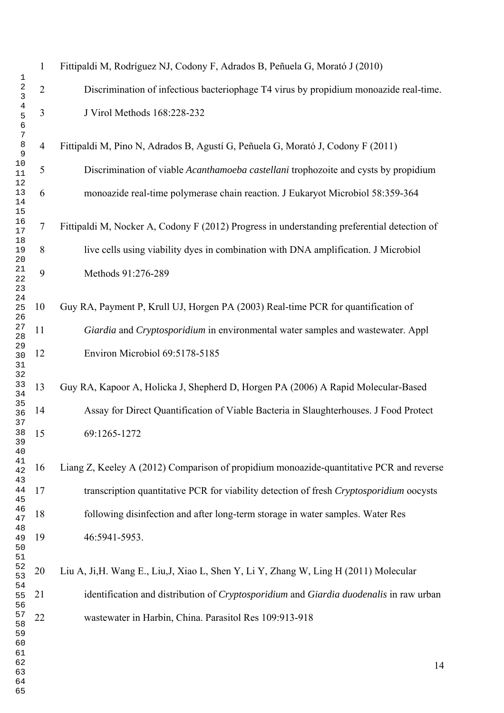| 1                          | $\mathbf{1}$   | Fittipaldi M, Rodríguez NJ, Codony F, Adrados B, Peñuela G, Morató J (2010)                 |
|----------------------------|----------------|---------------------------------------------------------------------------------------------|
| $\sqrt{2}$<br>3            | $\overline{2}$ | Discrimination of infectious bacteriophage T4 virus by propidium monoazide real-time.       |
| 4<br>5<br>6                | 3              | J Virol Methods 168:228-232                                                                 |
| 7<br>8<br>9                | 4              | Fittipaldi M, Pino N, Adrados B, Agustí G, Peñuela G, Morató J, Codony F (2011)             |
| 10<br>11                   | 5              | Discrimination of viable Acanthamoeba castellani trophozoite and cysts by propidium         |
| 12<br>13<br>14<br>15       | 6              | monoazide real-time polymerase chain reaction. J Eukaryot Microbiol 58:359-364              |
| 16<br>17                   | $\tau$         | Fittipaldi M, Nocker A, Codony F (2012) Progress in understanding preferential detection of |
| 18<br>19<br>20             | 8              | live cells using viability dyes in combination with DNA amplification. J Microbiol          |
| 21<br>22<br>23             | 9              | Methods 91:276-289                                                                          |
| 24<br>25<br>26             | 10             | Guy RA, Payment P, Krull UJ, Horgen PA (2003) Real-time PCR for quantification of           |
| 27<br>28                   | 11             | Giardia and Cryptosporidium in environmental water samples and wastewater. Appl             |
| 29<br>30<br>31<br>32       | 12             | Environ Microbiol 69:5178-5185                                                              |
| 33<br>34                   | 13             | Guy RA, Kapoor A, Holicka J, Shepherd D, Horgen PA (2006) A Rapid Molecular-Based           |
| 35<br>36<br>37             | 14             | Assay for Direct Quantification of Viable Bacteria in Slaughterhouses. J Food Protect       |
| 38<br>39<br>40             | 15             | 69:1265-1272                                                                                |
| 41<br>42                   | 16             | Liang Z, Keeley A (2012) Comparison of propidium monoazide-quantitative PCR and reverse     |
| 43<br>44<br>45             | 17             | transcription quantitative PCR for viability detection of fresh Cryptosporidium oocysts     |
| 46<br>47                   | 18             | following disinfection and after long-term storage in water samples. Water Res              |
| 48<br>49<br>50<br>51       | 19             | 46:5941-5953.                                                                               |
| 52<br>53                   | 20             | Liu A, Ji, H. Wang E., Liu, J, Xiao L, Shen Y, Li Y, Zhang W, Ling H (2011) Molecular       |
| 54<br>55<br>56             | 21             | identification and distribution of Cryptosporidium and Giardia duodenalis in raw urban      |
| 57<br>58<br>59<br>60<br>61 | 22             | wastewater in Harbin, China. Parasitol Res 109:913-918                                      |
| 62<br>63                   |                | 14                                                                                          |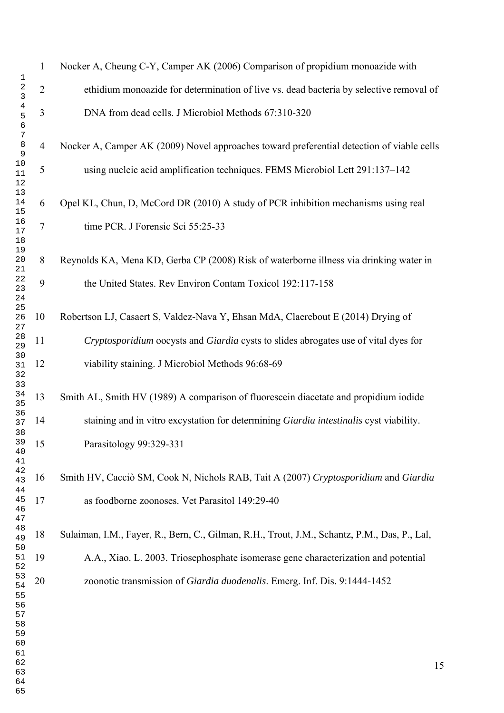|                                        | $\mathbf{1}$   | Nocker A, Cheung C-Y, Camper AK (2006) Comparison of propidium monoazide with                |  |
|----------------------------------------|----------------|----------------------------------------------------------------------------------------------|--|
| $\mathbf{1}$<br>$\sqrt{2}$<br>3        | $\overline{2}$ | ethidium monoazide for determination of live vs. dead bacteria by selective removal of       |  |
| 4<br>5<br>$\epsilon$                   | 3              | DNA from dead cells. J Microbiol Methods 67:310-320                                          |  |
| 7<br>8<br>9                            | 4              | Nocker A, Camper AK (2009) Novel approaches toward preferential detection of viable cells    |  |
| 10<br>11<br>12                         | 5              | using nucleic acid amplification techniques. FEMS Microbiol Lett 291:137-142                 |  |
| 13<br>14<br>15                         | 6              | Opel KL, Chun, D, McCord DR (2010) A study of PCR inhibition mechanisms using real           |  |
| 16<br>17<br>18                         | 7              | time PCR. J Forensic Sci 55:25-33                                                            |  |
| 19<br>20<br>21                         | 8              | Reynolds KA, Mena KD, Gerba CP (2008) Risk of waterborne illness via drinking water in       |  |
| 22<br>23<br>24                         | 9              | the United States. Rev Environ Contam Toxicol 192:117-158                                    |  |
| 25<br>26<br>27                         | 10             | Robertson LJ, Casaert S, Valdez-Nava Y, Ehsan MdA, Claerebout E (2014) Drying of             |  |
| 28<br>29                               | 11             | Cryptosporidium oocysts and Giardia cysts to slides abrogates use of vital dyes for          |  |
| 30<br>31<br>32                         | 12             | viability staining. J Microbiol Methods 96:68-69                                             |  |
| 33<br>34<br>35                         | 13             | Smith AL, Smith HV (1989) A comparison of fluorescein diacetate and propidium iodide         |  |
| 36<br>37                               | 14             | staining and in vitro excystation for determining Giardia intestinalis cyst viability.       |  |
| 38<br>39<br>40<br>41                   | 15             | Parasitology 99:329-331                                                                      |  |
| 42<br>43                               | 16             | Smith HV, Cacciò SM, Cook N, Nichols RAB, Tait A (2007) Cryptosporidium and Giardia          |  |
| 44<br>45<br>46<br>47                   | 17             | as foodborne zoonoses. Vet Parasitol 149:29-40                                               |  |
| 48<br>49                               | 18             | Sulaiman, I.M., Fayer, R., Bern, C., Gilman, R.H., Trout, J.M., Schantz, P.M., Das, P., Lal, |  |
| 50<br>51<br>52                         | 19             | A.A., Xiao. L. 2003. Triosephosphate isomerase gene characterization and potential           |  |
| 53<br>54<br>55<br>56<br>57<br>58<br>59 | 20             | zoonotic transmission of Giardia duodenalis. Emerg. Inf. Dis. 9:1444-1452                    |  |
| 60<br>61<br>62                         |                | 15                                                                                           |  |
| 63                                     |                |                                                                                              |  |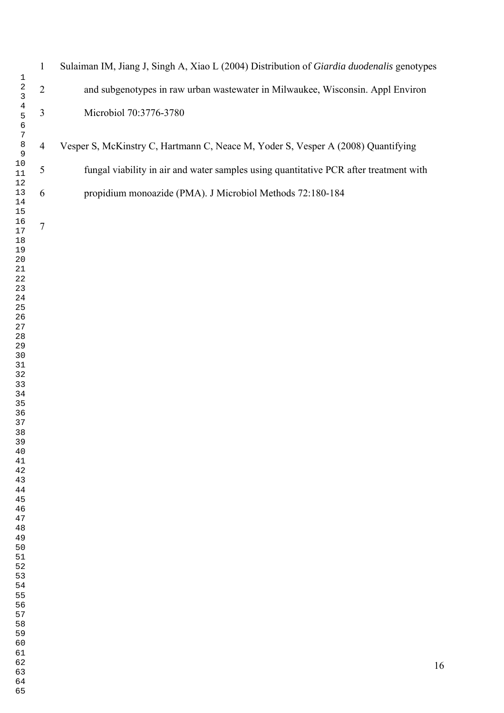|                                                                                                                                                                                              | $\mathbf{1}$   | Sulaiman IM, Jiang J, Singh A, Xiao L (2004) Distribution of Giardia duodenalis genotypes |
|----------------------------------------------------------------------------------------------------------------------------------------------------------------------------------------------|----------------|-------------------------------------------------------------------------------------------|
| 1<br>$\sqrt{2}$<br>3                                                                                                                                                                         | $\overline{2}$ | and subgenotypes in raw urban wastewater in Milwaukee, Wisconsin. Appl Environ            |
| $\overline{4}$<br>5<br>$\epsilon$                                                                                                                                                            | $\mathfrak{Z}$ | Microbiol 70:3776-3780                                                                    |
| $\boldsymbol{7}$<br>$\,8\,$<br>$\mathsf 9$                                                                                                                                                   | $\overline{4}$ | Vesper S, McKinstry C, Hartmann C, Neace M, Yoder S, Vesper A (2008) Quantifying          |
| 10<br>11                                                                                                                                                                                     | $\mathfrak{S}$ | fungal viability in air and water samples using quantitative PCR after treatment with     |
| 12<br>13<br>14<br>15                                                                                                                                                                         | 6              | propidium monoazide (PMA). J Microbiol Methods 72:180-184                                 |
| 16<br>17<br>18<br>19<br>20<br>21<br>22<br>23<br>24<br>25<br>26<br>27<br>28<br>29<br>30<br>31<br>32<br>33<br>34<br>35<br>36<br>37<br>38<br>39<br>40<br>41<br>42<br>43<br>44<br>45<br>46<br>47 | $\overline{7}$ |                                                                                           |
| 48<br>49<br>50                                                                                                                                                                               |                |                                                                                           |
| 51<br>52                                                                                                                                                                                     |                |                                                                                           |
| 53<br>54                                                                                                                                                                                     |                |                                                                                           |
| 55<br>56                                                                                                                                                                                     |                |                                                                                           |
| 57                                                                                                                                                                                           |                |                                                                                           |
| 58<br>59                                                                                                                                                                                     |                |                                                                                           |
| 60                                                                                                                                                                                           |                |                                                                                           |
| 61<br>62                                                                                                                                                                                     |                |                                                                                           |
| 63                                                                                                                                                                                           |                | 16                                                                                        |
| 64<br>65                                                                                                                                                                                     |                |                                                                                           |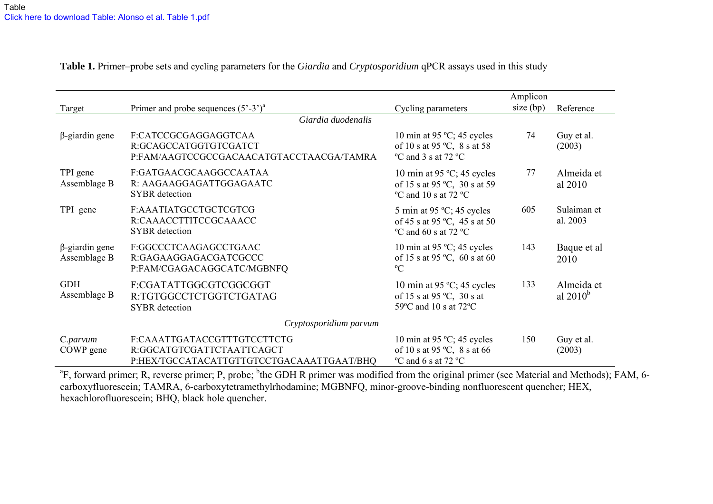|                                       | Primer and probe sequences $(5^{\circ}-3^{\circ})^{\alpha}$                                           | Cycling parameters                                                                                                | Amplicon<br>size $(bp)$ | Reference                 |
|---------------------------------------|-------------------------------------------------------------------------------------------------------|-------------------------------------------------------------------------------------------------------------------|-------------------------|---------------------------|
| Target                                | Giardia duodenalis                                                                                    |                                                                                                                   |                         |                           |
| $\beta$ -giardin gene                 | F:CATCCGCGAGGAGGTCAA<br>R:GCAGCCATGGTGTCGATCT<br>P:FAM/AAGTCCGCCGACAACATGTACCTAACGA/TAMRA             | 10 min at 95 $°C$ ; 45 cycles<br>of 10 s at 95 °C, 8 s at 58<br>$\rm ^{o}C$ and 3 s at 72 $\rm ^{o}C$             | 74                      | Guy et al.<br>(2003)      |
| TPI gene<br>Assemblage B              | F:GATGAACGCAAGGCCAATAA<br>R: AAGAAGGAGATTGGAGAATC<br><b>SYBR</b> detection                            | 10 min at 95 $°C$ ; 45 cycles<br>of 15 s at 95 °C, 30 s at 59<br>$\rm{^{\circ}C}$ and 10 s at 72 $\rm{^{\circ}C}$ | 77                      | Almeida et<br>al 2010     |
| TPI gene                              | F:AAATIATGCCTGCTCGTCG<br>R:CAAACCTTITCCGCAAACC<br><b>SYBR</b> detection                               | 5 min at 95 $\degree$ C; 45 cycles<br>of 45 s at 95 °C, 45 s at 50<br>°C and 60 s at 72 °C                        | 605                     | Sulaiman et<br>al. 2003   |
| $\beta$ -giardin gene<br>Assemblage B | F:GGCCCTCAAGAGCCTGAAC<br>R:GAGAAGGAGACGATCGCCC<br>P:FAM/CGAGACAGGCATC/MGBNFQ                          | 10 min at 95 $°C$ ; 45 cycles<br>of 15 s at 95 °C, 60 s at 60<br>$\rm ^{o}C$                                      | 143                     | Baque et al<br>2010       |
| <b>GDH</b><br>Assemblage B            | F:CGATATTGGCGTCGGCGGT<br>R:TGTGGCCTCTGGTCTGATAG<br><b>SYBR</b> detection                              | 10 min at 95 $°C$ ; 45 cycles<br>of 15 s at 95 °C, 30 s at<br>59 $\rm{^{\circ}C}$ and 10 s at 72 $\rm{^{\circ}C}$ | 133                     | Almeida et<br>al $2010^b$ |
| Cryptosporidium parvum                |                                                                                                       |                                                                                                                   |                         |                           |
| C.parvum<br>COWP gene                 | F:CAAATTGATACCGTTTGTCCTTCTG<br>R:GGCATGTCGATTCTAATTCAGCT<br>P:HEX/TGCCATACATTGTTGTCCTGACAAATTGAAT/BHQ | 10 min at 95 $°C$ ; 45 cycles<br>of 10 s at 95 °C, 8 s at 66<br>$\rm{^{\circ}C}$ and 6 s at 72 $\rm{^{\circ}C}$   | 150                     | Guy et al.<br>(2003)      |

**Table 1.** Primer–probe sets and cycling parameters for the *Giardia* and *Cryptosporidium* qPCR assays used in this study

<sup>a</sup>F, forward primer; R, reverse primer; P, probe; <sup>b</sup>the GDH R primer was modified from the original primer (see Material and Methods); FAM, 6carboxyfluorescein; TAMRA, 6-carboxytetramethylrhodamine; MGBNFQ, minor-groove-binding nonfluorescent quencher; HEX, hexachlorofluorescein; BHQ, black hole quencher.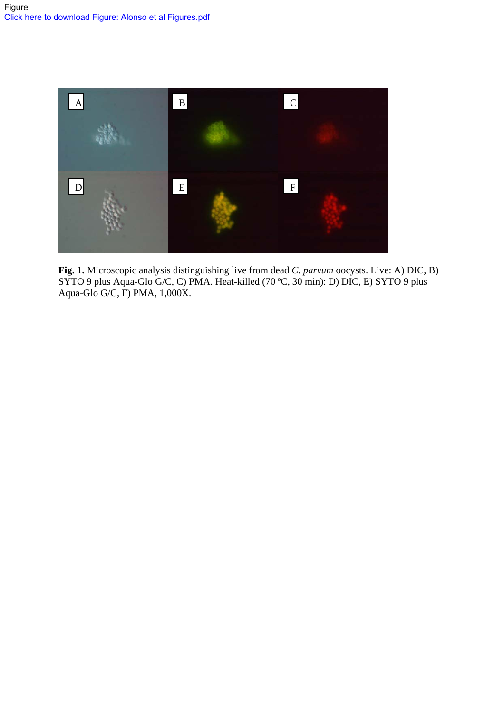

**Fig. 1.** Microscopic analysis distinguishing live from dead *C. parvum* oocysts. Live: A) DIC, B) SYTO 9 plus Aqua-Glo G/C, C) PMA. Heat-killed (70 ºC, 30 min): D) DIC, E) SYTO 9 plus Aqua-Glo G/C, F) PMA, 1,000X.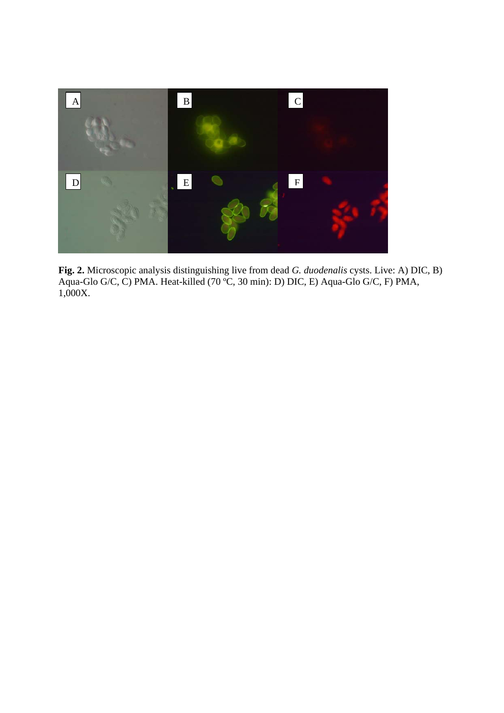

**Fig. 2.** Microscopic analysis distinguishing live from dead *G. duodenalis* cysts. Live: A) DIC, B) Aqua-Glo G/C, C) PMA. Heat-killed (70 ºC, 30 min): D) DIC, E) Aqua-Glo G/C, F) PMA, 1,000X.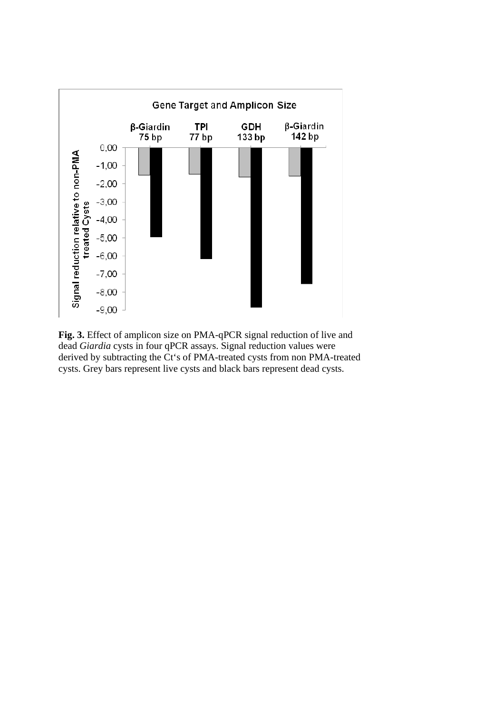

**Fig. 3.** Effect of amplicon size on PMA-qPCR signal reduction of live and dead *Giardia* cysts in four qPCR assays. Signal reduction values were derived by subtracting the Ct's of PMA-treated cysts from non PMA-treated cysts. Grey bars represent live cysts and black bars represent dead cysts.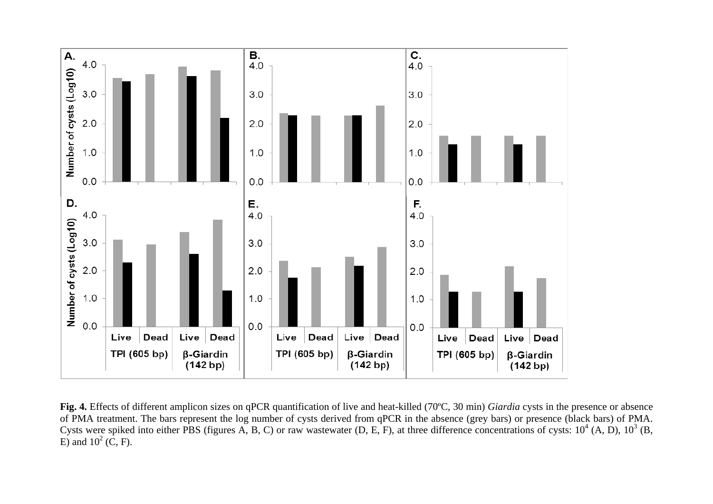

**Fig. 4.** Effects of different amplicon sizes on qPCR quantification of live and heat-killed (70ºC, 30 min) *Giardia* cysts in the presence or absence of PMA treatment. The bars represent the log number of cysts derived from qPCR in the absence (grey bars) or presence (black bars) of PMA. Cysts were spiked into either PBS (figures A, B, C) or raw wastewater (D, E, F), at three difference concentrations of cysts:  $10^4$  (A, D),  $10^3$  (B, E) and  $10^2$  (C, F).